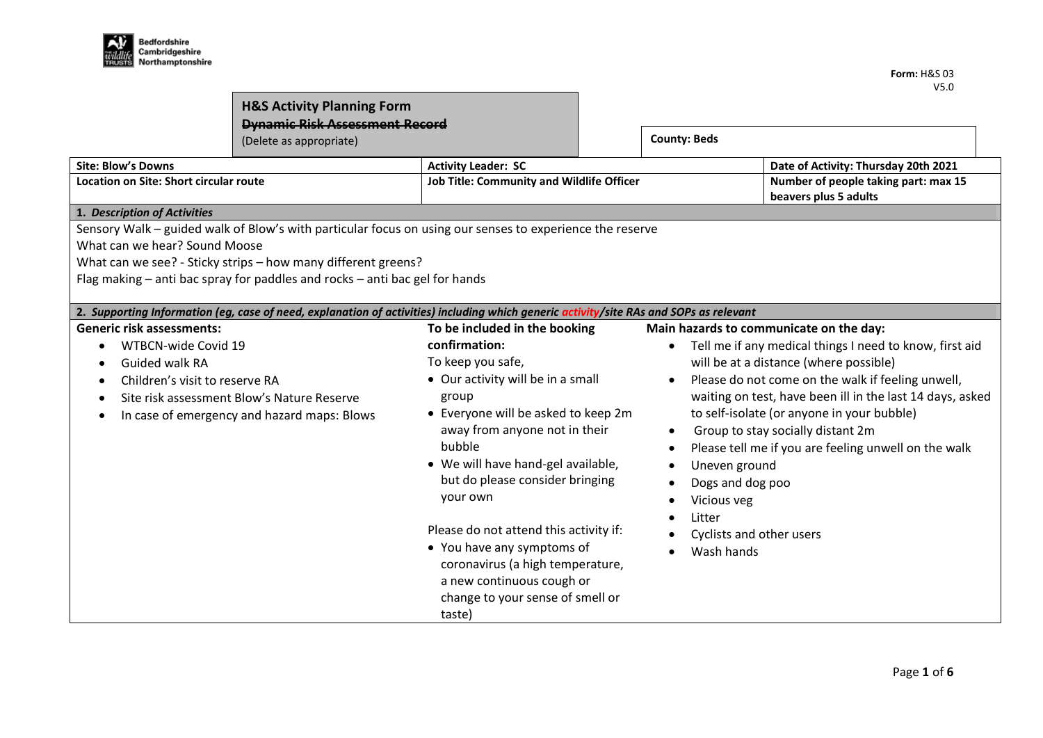| Áľ       | <b>Bedfordshire</b> |
|----------|---------------------|
| wildlife | Cambridgeshire      |
|          | Northamptonshire    |

| <b>H&amp;S Activity Planning Form</b><br><b>Dynamic Risk Assessment Record</b><br>(Delete as appropriate)   |                                                                                                                                                                                                                                                                                                                                                                                                    |                                                                                                                                                                                                                                                                                                                                                                                                                                                                                 |  | <b>County: Beds</b>                                                                                                                                                                                                           |                                                                                                                                                                                                                                                                                                                                                                |
|-------------------------------------------------------------------------------------------------------------|----------------------------------------------------------------------------------------------------------------------------------------------------------------------------------------------------------------------------------------------------------------------------------------------------------------------------------------------------------------------------------------------------|---------------------------------------------------------------------------------------------------------------------------------------------------------------------------------------------------------------------------------------------------------------------------------------------------------------------------------------------------------------------------------------------------------------------------------------------------------------------------------|--|-------------------------------------------------------------------------------------------------------------------------------------------------------------------------------------------------------------------------------|----------------------------------------------------------------------------------------------------------------------------------------------------------------------------------------------------------------------------------------------------------------------------------------------------------------------------------------------------------------|
| <b>Site: Blow's Downs</b><br>Location on Site: Short circular route                                         |                                                                                                                                                                                                                                                                                                                                                                                                    | <b>Activity Leader: SC</b><br><b>Job Title: Community and Wildlife Officer</b>                                                                                                                                                                                                                                                                                                                                                                                                  |  |                                                                                                                                                                                                                               | Date of Activity: Thursday 20th 2021<br>Number of people taking part: max 15<br>beavers plus 5 adults                                                                                                                                                                                                                                                          |
| 1. Description of Activities<br>What can we hear? Sound Moose                                               | Sensory Walk – guided walk of Blow's with particular focus on using our senses to experience the reserve<br>What can we see? - Sticky strips - how many different greens?<br>Flag making – anti bac spray for paddles and rocks – anti bac gel for hands<br>2. Supporting Information (eg, case of need, explanation of activities) including which generic activity/site RAs and SOPs as relevant |                                                                                                                                                                                                                                                                                                                                                                                                                                                                                 |  |                                                                                                                                                                                                                               |                                                                                                                                                                                                                                                                                                                                                                |
| <b>Generic risk assessments:</b><br>WTBCN-wide Covid 19<br>Guided walk RA<br>Children's visit to reserve RA | Site risk assessment Blow's Nature Reserve<br>In case of emergency and hazard maps: Blows                                                                                                                                                                                                                                                                                                          | To be included in the booking<br>confirmation:<br>To keep you safe,<br>• Our activity will be in a small<br>group<br>• Everyone will be asked to keep 2m<br>away from anyone not in their<br>bubble<br>• We will have hand-gel available,<br>but do please consider bringing<br>your own<br>Please do not attend this activity if:<br>• You have any symptoms of<br>coronavirus (a high temperature,<br>a new continuous cough or<br>change to your sense of smell or<br>taste) |  | Main hazards to communicate on the day:<br>$\bullet$<br>$\bullet$<br>$\bullet$<br>$\bullet$<br>Uneven ground<br>$\bullet$<br>Dogs and dog poo<br>Vicious veg<br>$\bullet$<br>Litter<br>Cyclists and other users<br>Wash hands | Tell me if any medical things I need to know, first aid<br>will be at a distance (where possible)<br>Please do not come on the walk if feeling unwell,<br>waiting on test, have been ill in the last 14 days, asked<br>to self-isolate (or anyone in your bubble)<br>Group to stay socially distant 2m<br>Please tell me if you are feeling unwell on the walk |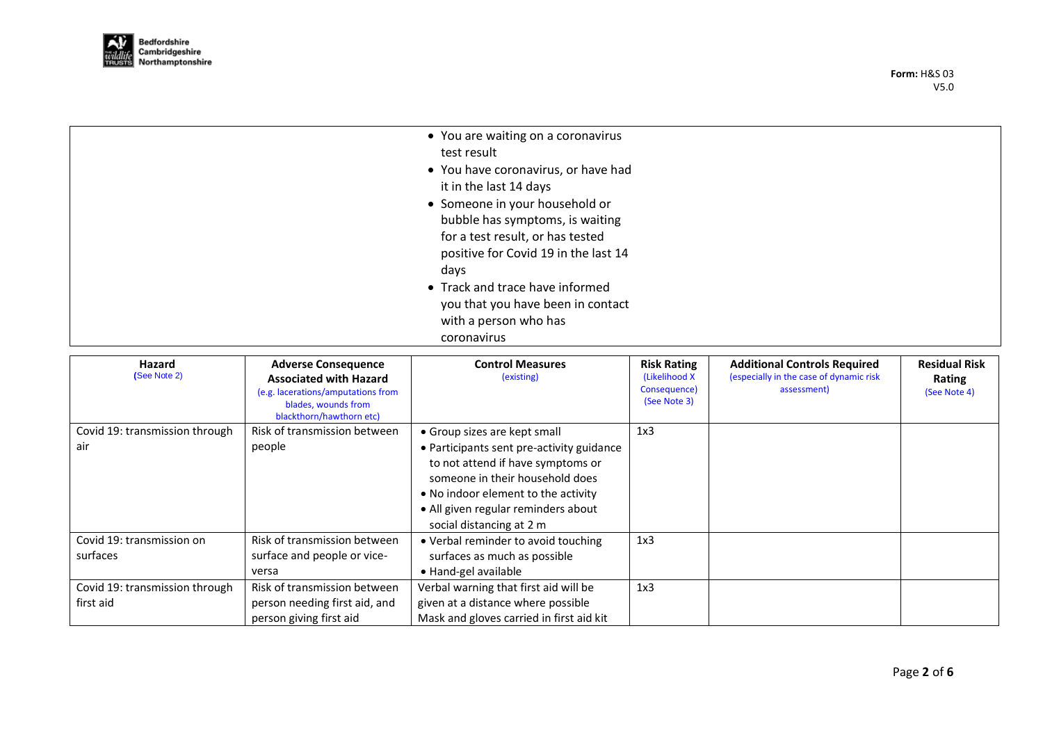

| • You are waiting on a coronavirus   |
|--------------------------------------|
| test result                          |
| • You have coronavirus, or have had  |
| it in the last 14 days               |
| • Someone in your household or       |
| bubble has symptoms, is waiting      |
| for a test result, or has tested     |
| positive for Covid 19 in the last 14 |
| days                                 |
| • Track and trace have informed      |
| you that you have been in contact    |
| with a person who has                |
| coronavirus                          |

| Hazard<br>(See Note 2)                      | <b>Adverse Consequence</b><br><b>Associated with Hazard</b><br>(e.g. lacerations/amputations from<br>blades, wounds from<br>blackthorn/hawthorn etc) | <b>Control Measures</b><br>(existing)                                                                                                                                                                                       | <b>Risk Rating</b><br>(Likelihood X)<br>Consequence)<br>(See Note 3) | <b>Additional Controls Required</b><br>(especially in the case of dynamic risk<br>assessment) | <b>Residual Risk</b><br>Rating<br>(See Note 4) |
|---------------------------------------------|------------------------------------------------------------------------------------------------------------------------------------------------------|-----------------------------------------------------------------------------------------------------------------------------------------------------------------------------------------------------------------------------|----------------------------------------------------------------------|-----------------------------------------------------------------------------------------------|------------------------------------------------|
| Covid 19: transmission through              | Risk of transmission between                                                                                                                         | • Group sizes are kept small                                                                                                                                                                                                | 1x3                                                                  |                                                                                               |                                                |
| air                                         | people                                                                                                                                               | • Participants sent pre-activity guidance<br>to not attend if have symptoms or<br>someone in their household does<br>• No indoor element to the activity<br>• All given regular reminders about<br>social distancing at 2 m |                                                                      |                                                                                               |                                                |
| Covid 19: transmission on<br>surfaces       | Risk of transmission between<br>surface and people or vice-<br>versa                                                                                 | • Verbal reminder to avoid touching<br>surfaces as much as possible<br>• Hand-gel available                                                                                                                                 | 1x3                                                                  |                                                                                               |                                                |
| Covid 19: transmission through<br>first aid | Risk of transmission between<br>person needing first aid, and<br>person giving first aid                                                             | Verbal warning that first aid will be<br>given at a distance where possible<br>Mask and gloves carried in first aid kit                                                                                                     | 1x3                                                                  |                                                                                               |                                                |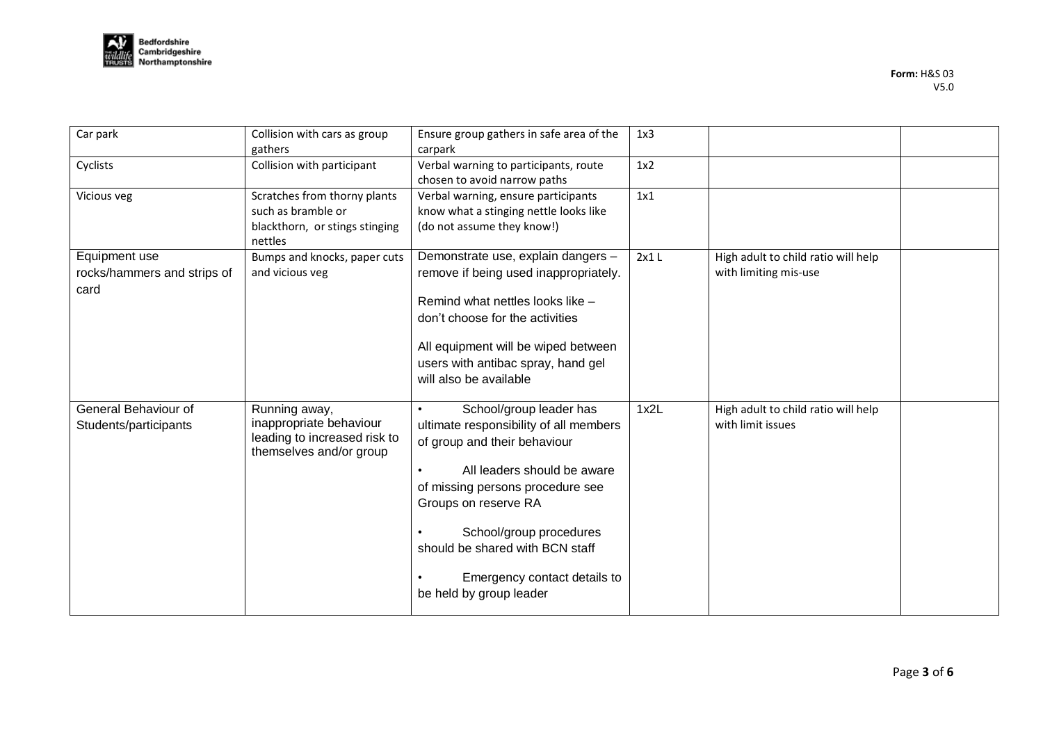

| Car park                                             | Collision with cars as group<br>gathers                                                             | Ensure group gathers in safe area of the<br>carpark                                                                                                                                                                                                                                                                   | 1x3  |                                                              |  |
|------------------------------------------------------|-----------------------------------------------------------------------------------------------------|-----------------------------------------------------------------------------------------------------------------------------------------------------------------------------------------------------------------------------------------------------------------------------------------------------------------------|------|--------------------------------------------------------------|--|
| Cyclists                                             | Collision with participant                                                                          | Verbal warning to participants, route<br>chosen to avoid narrow paths                                                                                                                                                                                                                                                 | 1x2  |                                                              |  |
| Vicious veg                                          | Scratches from thorny plants<br>such as bramble or<br>blackthorn, or stings stinging<br>nettles     | Verbal warning, ensure participants<br>know what a stinging nettle looks like<br>(do not assume they know!)                                                                                                                                                                                                           | 1x1  |                                                              |  |
| Equipment use<br>rocks/hammers and strips of<br>card | Bumps and knocks, paper cuts<br>and vicious veg                                                     | Demonstrate use, explain dangers -<br>remove if being used inappropriately.<br>Remind what nettles looks like -<br>don't choose for the activities<br>All equipment will be wiped between<br>users with antibac spray, hand gel<br>will also be available                                                             | 2x1L | High adult to child ratio will help<br>with limiting mis-use |  |
| General Behaviour of<br>Students/participants        | Running away,<br>inappropriate behaviour<br>leading to increased risk to<br>themselves and/or group | School/group leader has<br>ultimate responsibility of all members<br>of group and their behaviour<br>All leaders should be aware<br>of missing persons procedure see<br>Groups on reserve RA<br>School/group procedures<br>should be shared with BCN staff<br>Emergency contact details to<br>be held by group leader | 1x2L | High adult to child ratio will help<br>with limit issues     |  |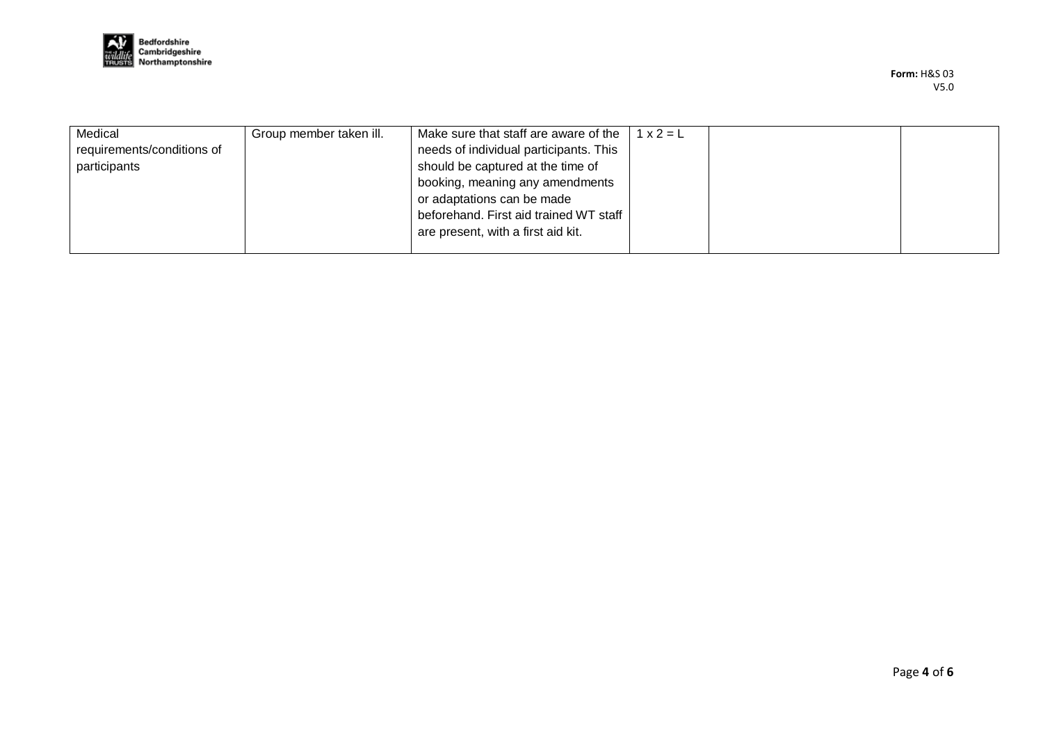

| Medical<br>requirements/conditions of<br>participants | Group member taken ill. | Make sure that staff are aware of the<br>needs of individual participants. This<br>should be captured at the time of<br>booking, meaning any amendments<br>or adaptations can be made<br>beforehand. First aid trained WT staff<br>are present, with a first aid kit. | $1x2=L$ |  |
|-------------------------------------------------------|-------------------------|-----------------------------------------------------------------------------------------------------------------------------------------------------------------------------------------------------------------------------------------------------------------------|---------|--|
|                                                       |                         |                                                                                                                                                                                                                                                                       |         |  |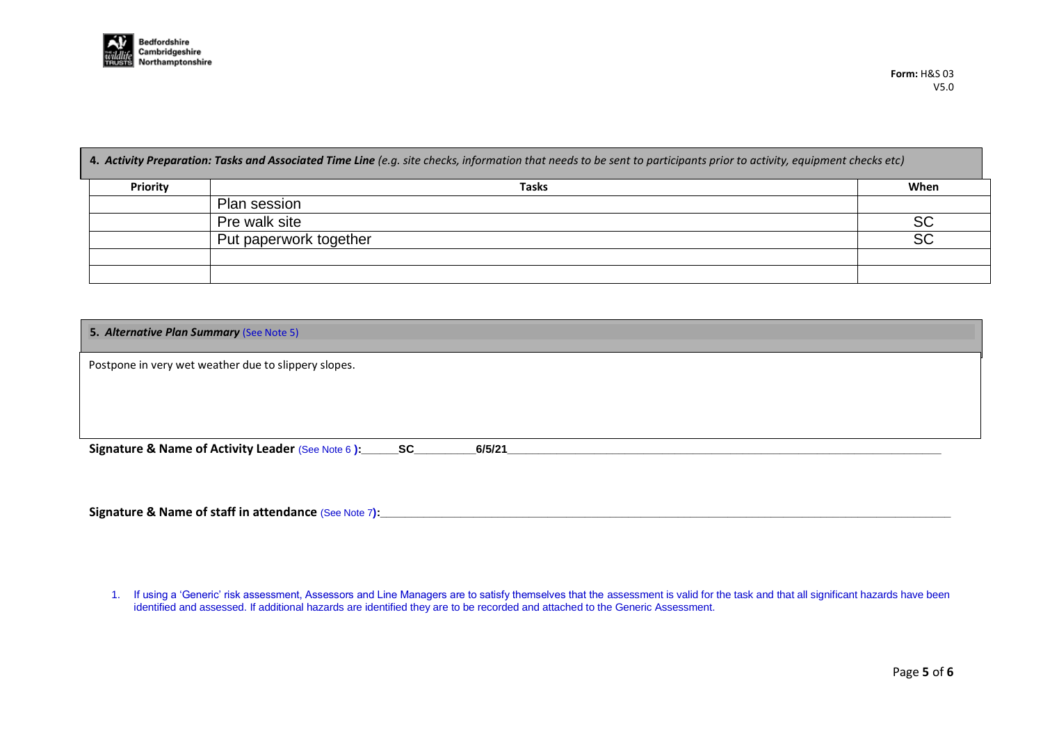

**4.** *Activity Preparation: Tasks and Associated Time Line (e.g. site checks, information that needs to be sent to participants prior to activity, equipment checks etc)*

| <b>Priority</b> | <b>Tasks</b>           | When      |
|-----------------|------------------------|-----------|
|                 | Plan session           |           |
|                 | Pre walk site          | <b>SC</b> |
|                 | Put paperwork together | <b>SC</b> |
|                 |                        |           |
|                 |                        |           |

| 5. Alternative Plan Summary (See Note 5)                      |  |        |  |  |  |
|---------------------------------------------------------------|--|--------|--|--|--|
| Postpone in very wet weather due to slippery slopes.          |  |        |  |  |  |
|                                                               |  |        |  |  |  |
|                                                               |  |        |  |  |  |
| Signature & Name of Activity Leader (See Note 6): _______ SC_ |  | 6/5/21 |  |  |  |

**Signature & Name of staff in attendance (See Note 7):** 

<sup>1.</sup> If using a 'Generic' risk assessment, Assessors and Line Managers are to satisfy themselves that the assessment is valid for the task and that all significant hazards have been identified and assessed. If additional hazards are identified they are to be recorded and attached to the Generic Assessment.